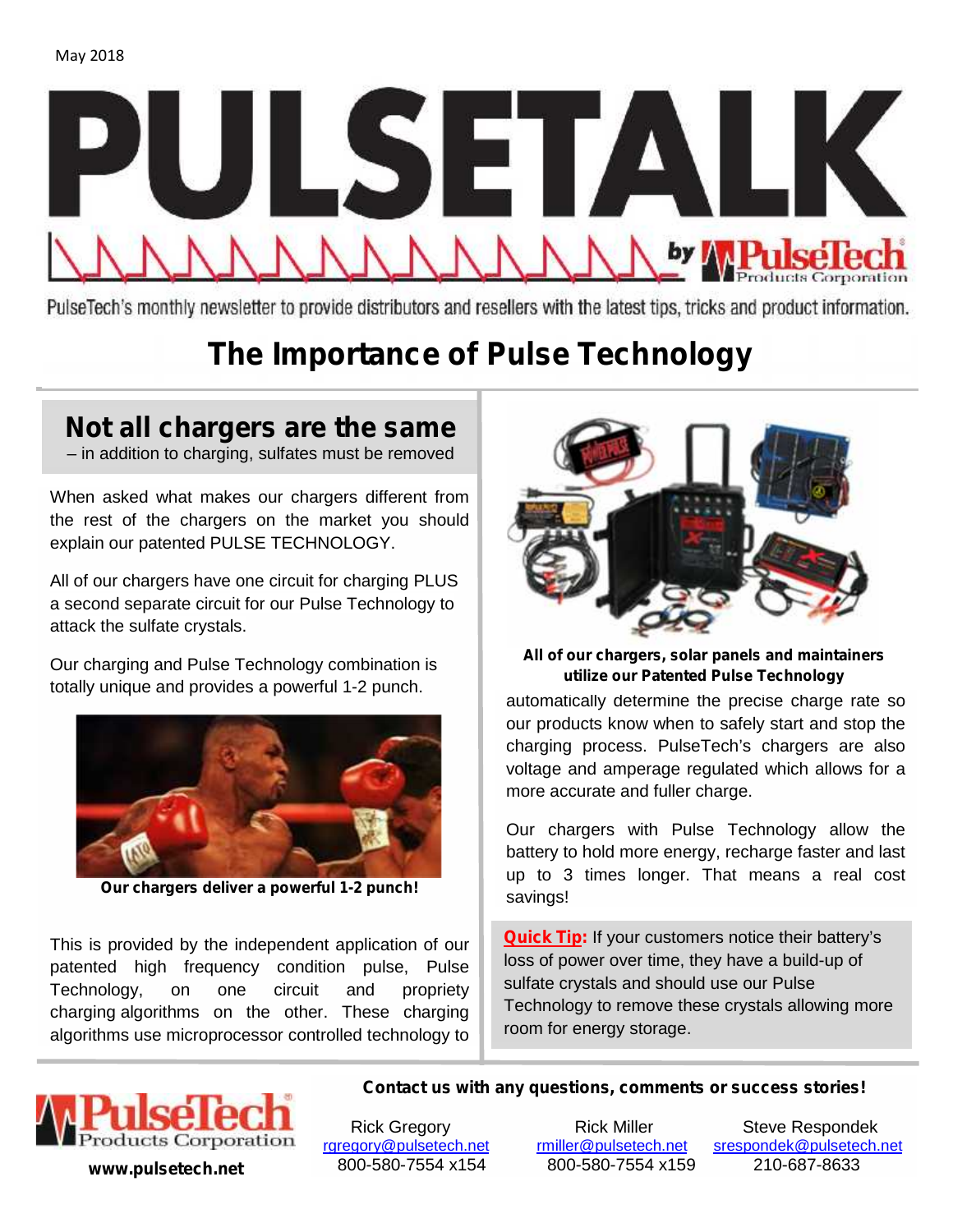

PulseTech's monthly newsletter to provide distributors and resellers with the latest tips, tricks and product information.

# **The Importance of Pulse Technology**

## **Not all chargers are the same**

– in addition to charging, sulfates must be removed

When asked what makes our chargers different from the rest of the chargers on the market you should explain our patented PULSE TECHNOLOGY.

All of our chargers have one circuit for charging PLUS a second separate circuit for our Pulse Technology to attack the sulfate crystals.

Our charging and Pulse Technology combination is totally unique and provides a powerful 1-2 punch.



**Our chargers deliver a powerful 1-2 punch!**

This is provided by the independent application of our patented high frequency condition pulse, Pulse Technology, on one circuit and propriety charging algorithms on the other. These charging algorithms use microprocessor controlled technology to

automatically determine the precise charge rate so our



**All of our chargers, solar panels and maintainers utilize our Patented Pulse Technology**

automatically determine the precise charge rate so our products know when to safely start and stop the charging process. PulseTech's chargers are also voltage and amperage regulated which allows for a more accurate and fuller charge.

Our chargers with Pulse Technology allow the battery to hold more energy, recharge faster and last up to 3 times longer. That means a real cost savings!

**Quick Tip:** If your customers notice their battery's loss of power over time, they have a build-up of sulfate crystals and should use our Pulse Technology to remove these crystals allowing more room for energy storage.



rgregory@pulsetech.net rmiller@pulsetech.net **www.pulsetech.net** 800-580-7554 x154 800-580-7554 x159 210-687-8633

**Contact us with any questions, comments or success stories!**

Rick Gregory Frick Miller Steve Respondek<br>Rick Miller Steve Respondek@pulsetech.net Stespondek@pulsetech.net